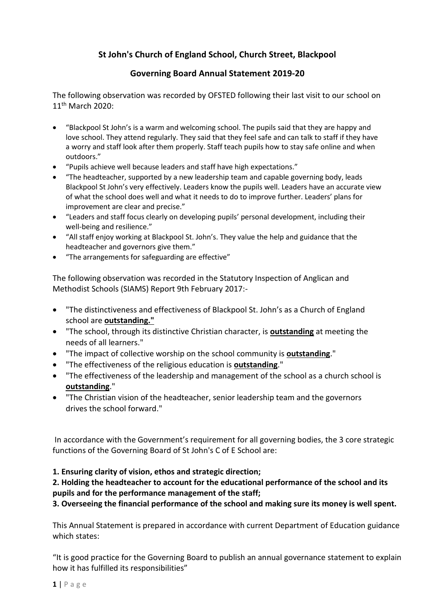# **St John's Church of England School, Church Street, Blackpool**

## **Governing Board Annual Statement 2019-20**

The following observation was recorded by OFSTED following their last visit to our school on 11<sup>th</sup> March 2020:

- "Blackpool St John's is a warm and welcoming school. The pupils said that they are happy and love school. They attend regularly. They said that they feel safe and can talk to staff if they have a worry and staff look after them properly. Staff teach pupils how to stay safe online and when outdoors."
- "Pupils achieve well because leaders and staff have high expectations."
- "The headteacher, supported by a new leadership team and capable governing body, leads Blackpool St John's very effectively. Leaders know the pupils well. Leaders have an accurate view of what the school does well and what it needs to do to improve further. Leaders' plans for improvement are clear and precise."
- "Leaders and staff focus clearly on developing pupils' personal development, including their well-being and resilience."
- "All staff enjoy working at Blackpool St. John's. They value the help and guidance that the headteacher and governors give them."
- "The arrangements for safeguarding are effective"

The following observation was recorded in the Statutory Inspection of Anglican and Methodist Schools (SIAMS) Report 9th February 2017:-

- "The distinctiveness and effectiveness of Blackpool St. John's as a Church of England school are **outstanding."**
- "The school, through its distinctive Christian character, is **outstanding** at meeting the needs of all learners."
- "The impact of collective worship on the school community is **outstanding**."
- "The effectiveness of the religious education is **outstanding**."
- "The effectiveness of the leadership and management of the school as a church school is **outstanding**."
- "The Christian vision of the headteacher, senior leadership team and the governors drives the school forward."

In accordance with the Government's requirement for all governing bodies, the 3 core strategic functions of the Governing Board of St John's C of E School are:

#### **1. Ensuring clarity of vision, ethos and strategic direction;**

## **2. Holding the headteacher to account for the educational performance of the school and its pupils and for the performance management of the staff;**

**3. Overseeing the financial performance of the school and making sure its money is well spent.** 

This Annual Statement is prepared in accordance with current Department of Education guidance which states:

"It is good practice for the Governing Board to publish an annual governance statement to explain how it has fulfilled its responsibilities"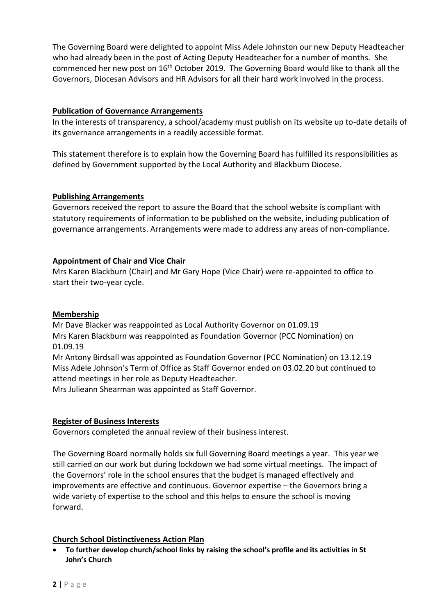The Governing Board were delighted to appoint Miss Adele Johnston our new Deputy Headteacher who had already been in the post of Acting Deputy Headteacher for a number of months. She commenced her new post on 16<sup>th</sup> October 2019. The Governing Board would like to thank all the Governors, Diocesan Advisors and HR Advisors for all their hard work involved in the process.

## **Publication of Governance Arrangements**

In the interests of transparency, a school/academy must publish on its website up to-date details of its governance arrangements in a readily accessible format.

This statement therefore is to explain how the Governing Board has fulfilled its responsibilities as defined by Government supported by the Local Authority and Blackburn Diocese.

#### **Publishing Arrangements**

Governors received the report to assure the Board that the school website is compliant with statutory requirements of information to be published on the website, including publication of governance arrangements. Arrangements were made to address any areas of non-compliance.

## **Appointment of Chair and Vice Chair**

Mrs Karen Blackburn (Chair) and Mr Gary Hope (Vice Chair) were re-appointed to office to start their two-year cycle.

#### **Membership**

Mr Dave Blacker was reappointed as Local Authority Governor on 01.09.19 Mrs Karen Blackburn was reappointed as Foundation Governor (PCC Nomination) on 01.09.19

Mr Antony Birdsall was appointed as Foundation Governor (PCC Nomination) on 13.12.19 Miss Adele Johnson's Term of Office as Staff Governor ended on 03.02.20 but continued to attend meetings in her role as Deputy Headteacher.

Mrs Julieann Shearman was appointed as Staff Governor.

#### **Register of Business Interests**

Governors completed the annual review of their business interest.

The Governing Board normally holds six full Governing Board meetings a year. This year we still carried on our work but during lockdown we had some virtual meetings. The impact of the Governors' role in the school ensures that the budget is managed effectively and improvements are effective and continuous. Governor expertise – the Governors bring a wide variety of expertise to the school and this helps to ensure the school is moving forward.

#### **Church School Distinctiveness Action Plan**

 **To further develop church/school links by raising the school's profile and its activities in St John's Church**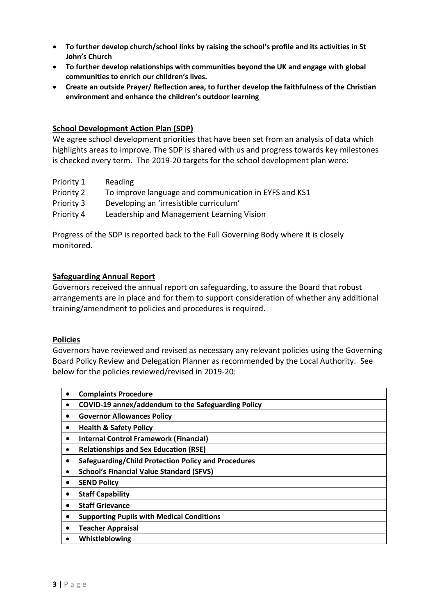- **To further develop church/school links by raising the school's profile and its activities in St John's Church**
- **To further develop relationships with communities beyond the UK and engage with global communities to enrich our children's lives.**
- **Create an outside Prayer/ Reflection area, to further develop the faithfulness of the Christian environment and enhance the children's outdoor learning**

#### **School Development Action Plan (SDP)**

We agree school development priorities that have been set from an analysis of data which highlights areas to improve. The SDP is shared with us and progress towards key milestones is checked every term. The 2019-20 targets for the school development plan were:

- Priority 1 Reading
- Priority 2 To improve language and communication in EYFS and KS1
- Priority 3 Developing an 'irresistible curriculum'
- Priority 4 Leadership and Management Learning Vision

Progress of the SDP is reported back to the Full Governing Body where it is closely monitored.

#### **Safeguarding Annual Report**

Governors received the annual report on safeguarding, to assure the Board that robust arrangements are in place and for them to support consideration of whether any additional training/amendment to policies and procedures is required.

#### **Policies**

Governors have reviewed and revised as necessary any relevant policies using the Governing Board Policy Review and Delegation Planner as recommended by the Local Authority. See below for the policies reviewed/revised in 2019-20:

| <b>Complaints Procedure</b>                                |
|------------------------------------------------------------|
| COVID-19 annex/addendum to the Safeguarding Policy<br>٠    |
| <b>Governor Allowances Policy</b>                          |
| <b>Health &amp; Safety Policy</b>                          |
| <b>Internal Control Framework (Financial)</b><br>$\bullet$ |
| <b>Relationships and Sex Education (RSE)</b>               |
| Safeguarding/Child Protection Policy and Procedures        |
| <b>School's Financial Value Standard (SFVS)</b>            |
| <b>SEND Policy</b>                                         |
| <b>Staff Capability</b>                                    |
| <b>Staff Grievance</b>                                     |
| <b>Supporting Pupils with Medical Conditions</b>           |
| <b>Teacher Appraisal</b>                                   |
| Whistleblowing                                             |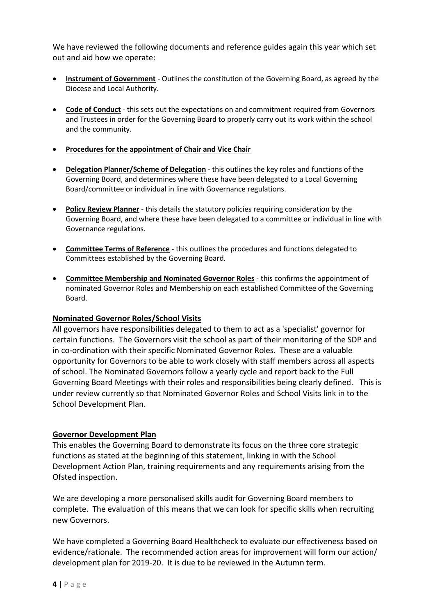We have reviewed the following documents and reference guides again this year which set out and aid how we operate:

- **Instrument of Government** Outlines the constitution of the Governing Board, as agreed by the Diocese and Local Authority.
- **Code of Conduct** this sets out the expectations on and commitment required from Governors and Trustees in order for the Governing Board to properly carry out its work within the school and the community.
- **Procedures for the appointment of Chair and Vice Chair**
- **Delegation Planner/Scheme of Delegation** this outlines the key roles and functions of the Governing Board, and determines where these have been delegated to a Local Governing Board/committee or individual in line with Governance regulations.
- **Policy Review Planner** this details the statutory policies requiring consideration by the Governing Board, and where these have been delegated to a committee or individual in line with Governance regulations.
- **Committee Terms of Reference** this outlines the procedures and functions delegated to Committees established by the Governing Board.
- **Committee Membership and Nominated Governor Roles** this confirms the appointment of nominated Governor Roles and Membership on each established Committee of the Governing Board.

#### **Nominated Governor Roles/School Visits**

All governors have responsibilities delegated to them to act as a 'specialist' governor for certain functions. The Governors visit the school as part of their monitoring of the SDP and in co-ordination with their specific Nominated Governor Roles. These are a valuable opportunity for Governors to be able to work closely with staff members across all aspects of school. The Nominated Governors follow a yearly cycle and report back to the Full Governing Board Meetings with their roles and responsibilities being clearly defined. This is under review currently so that Nominated Governor Roles and School Visits link in to the School Development Plan.

#### **Governor Development Plan**

This enables the Governing Board to demonstrate its focus on the three core strategic functions as stated at the beginning of this statement, linking in with the School Development Action Plan, training requirements and any requirements arising from the Ofsted inspection.

We are developing a more personalised skills audit for Governing Board members to complete. The evaluation of this means that we can look for specific skills when recruiting new Governors.

We have completed a Governing Board Healthcheck to evaluate our effectiveness based on evidence/rationale. The recommended action areas for improvement will form our action/ development plan for 2019-20. It is due to be reviewed in the Autumn term.